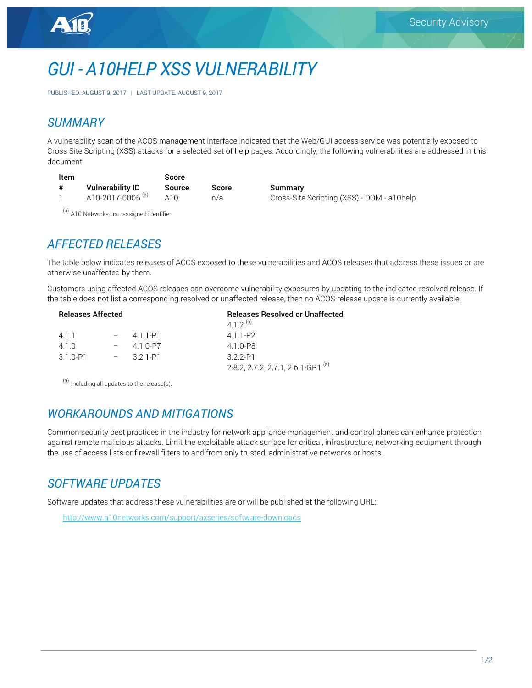# *GUI - A10HELP XSS VULNERABILITY*

PUBLISHED: AUGUST 9, 2017 | LAST UPDATE: AUGUST 9, 2017

### *SUMMARY*

A vulnerability scan of the ACOS management interface indicated that the Web/GUI access service was potentially exposed to Cross Site Scripting (XSS) attacks for a selected set of help pages. Accordingly, the following vulnerabilities are addressed in this document.

| Item |                              | Score  |       |
|------|------------------------------|--------|-------|
| #    | <b>Vulnerability ID</b>      | Source | Score |
|      | A10-2017-0006 <sup>(a)</sup> | A10    | n/a   |

Summary Cross-Site Scripting (XSS) - DOM - a10help

(a) A10 Networks, Inc. assigned identifier.

# *AFFECTED RELEASES*

The table below indicates releases of ACOS exposed to these vulnerabilities and ACOS releases that address these issues or are otherwise unaffected by them.

Customers using affected ACOS releases can overcome vulnerability exposures by updating to the indicated resolved release. If the table does not list a corresponding resolved or unaffected release, then no ACOS release update is currently available.

| <b>Releases Affected</b> |  |           | <b>Releases Resolved or Unaffected</b><br>4 1 2 (a) |  |
|--------------------------|--|-----------|-----------------------------------------------------|--|
| 4 1 1                    |  | 411-P1    | 411-P2                                              |  |
| 410                      |  | 4 1 0-P7  | 4 1 0-P8                                            |  |
| $3.1.0 - P1$             |  | $-321-P1$ | 3 2 2-P1                                            |  |
|                          |  |           | 2.8.2, 2.7.2, 2.7.1, 2.6.1-GR1 <sup>(a)</sup>       |  |
|                          |  |           |                                                     |  |

<sup>(a)</sup> Including all updates to the release(s).

# *WORKAROUNDS AND MITIGATIONS*

Common security best practices in the industry for network appliance management and control planes can enhance protection against remote malicious attacks. Limit the exploitable attack surface for critical, infrastructure, networking equipment through the use of access lists or firewall filters to and from only trusted, administrative networks or hosts.

# *SOFTWARE UPDATES*

Software updates that address these vulnerabilities are or will be published at the following URL:

http://www.a10networks.com/support/axseries/software-downloads